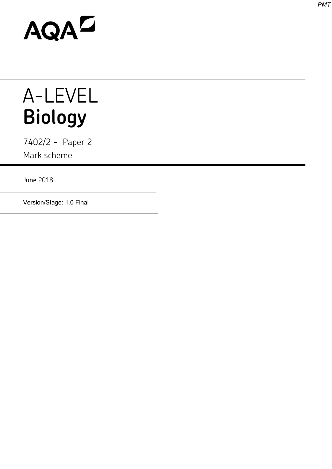# AQAD

## A-LEVEL **Biology**

7402/2 - Paper 2 Mark scheme

June 2018

Version/Stage: 1.0 Final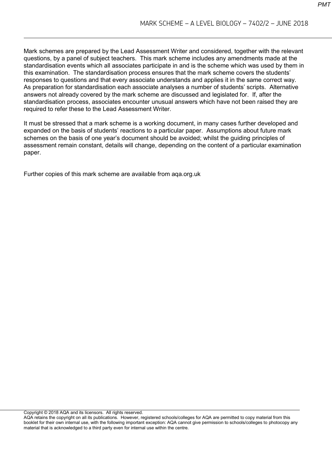Mark schemes are prepared by the Lead Assessment Writer and considered, together with the relevant questions, by a panel of subject teachers. This mark scheme includes any amendments made at the standardisation events which all associates participate in and is the scheme which was used by them in this examination. The standardisation process ensures that the mark scheme covers the students' responses to questions and that every associate understands and applies it in the same correct way. As preparation for standardisation each associate analyses a number of students' scripts. Alternative answers not already covered by the mark scheme are discussed and legislated for. If, after the standardisation process, associates encounter unusual answers which have not been raised they are required to refer these to the Lead Assessment Writer.

It must be stressed that a mark scheme is a working document, in many cases further developed and expanded on the basis of students' reactions to a particular paper. Assumptions about future mark schemes on the basis of one year's document should be avoided; whilst the guiding principles of assessment remain constant, details will change, depending on the content of a particular examination paper.

Further copies of this mark scheme are available from aqa.org.uk

Copyright © 2018 AQA and its licensors. All rights reserved.

AQA retains the copyright on all its publications. However, registered schools/colleges for AQA are permitted to copy material from this booklet for their own internal use, with the following important exception: AQA cannot give permission to schools/colleges to photocopy any material that is acknowledged to a third party even for internal use within the centre.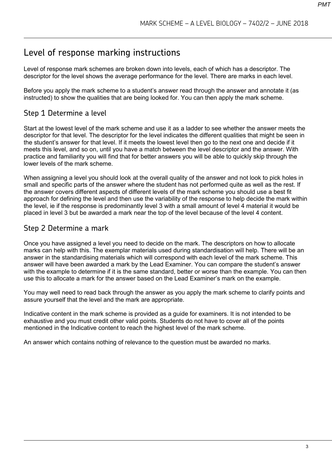### Level of response marking instructions

Level of response mark schemes are broken down into levels, each of which has a descriptor. The descriptor for the level shows the average performance for the level. There are marks in each level.

Before you apply the mark scheme to a student's answer read through the answer and annotate it (as instructed) to show the qualities that are being looked for. You can then apply the mark scheme.

#### Step 1 Determine a level

Start at the lowest level of the mark scheme and use it as a ladder to see whether the answer meets the descriptor for that level. The descriptor for the level indicates the different qualities that might be seen in the student's answer for that level. If it meets the lowest level then go to the next one and decide if it meets this level, and so on, until you have a match between the level descriptor and the answer. With practice and familiarity you will find that for better answers you will be able to quickly skip through the lower levels of the mark scheme.

When assigning a level you should look at the overall quality of the answer and not look to pick holes in small and specific parts of the answer where the student has not performed quite as well as the rest. If the answer covers different aspects of different levels of the mark scheme you should use a best fit approach for defining the level and then use the variability of the response to help decide the mark within the level, ie if the response is predominantly level 3 with a small amount of level 4 material it would be placed in level 3 but be awarded a mark near the top of the level because of the level 4 content.

#### Step 2 Determine a mark

Once you have assigned a level you need to decide on the mark. The descriptors on how to allocate marks can help with this. The exemplar materials used during standardisation will help. There will be an answer in the standardising materials which will correspond with each level of the mark scheme. This answer will have been awarded a mark by the Lead Examiner. You can compare the student's answer with the example to determine if it is the same standard, better or worse than the example. You can then use this to allocate a mark for the answer based on the Lead Examiner's mark on the example.

You may well need to read back through the answer as you apply the mark scheme to clarify points and assure yourself that the level and the mark are appropriate.

Indicative content in the mark scheme is provided as a guide for examiners. It is not intended to be exhaustive and you must credit other valid points. Students do not have to cover all of the points mentioned in the Indicative content to reach the highest level of the mark scheme.

An answer which contains nothing of relevance to the question must be awarded no marks.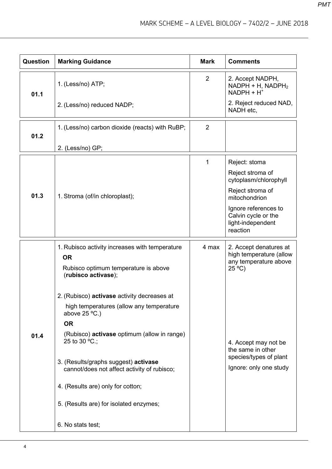| Question | <b>Marking Guidance</b>                                                             | <b>Mark</b> | <b>Comments</b>                                                              |
|----------|-------------------------------------------------------------------------------------|-------------|------------------------------------------------------------------------------|
| 01.1     | 1. (Less/no) ATP;                                                                   | 2           | 2. Accept NADPH,<br>$NADPH + H$ , $NADPH2$<br>$NADPH + H^+$                  |
|          | 2. (Less/no) reduced NADP;                                                          |             | 2. Reject reduced NAD,<br>NADH etc,                                          |
| 01.2     | 1. (Less/no) carbon dioxide (reacts) with RuBP;                                     | 2           |                                                                              |
|          | 2. (Less/no) GP;                                                                    |             |                                                                              |
|          |                                                                                     | 1           | Reject: stoma                                                                |
|          |                                                                                     |             | Reject stroma of<br>cytoplasm/chlorophyll                                    |
| 01.3     | 1. Stroma (of/in chloroplast);                                                      |             | Reject stroma of<br>mitochondrion                                            |
|          |                                                                                     |             | Ignore references to<br>Calvin cycle or the<br>light-independent<br>reaction |
|          | 1. Rubisco activity increases with temperature                                      | 4 max       | 2. Accept denatures at<br>high temperature (allow                            |
|          | <b>OR</b><br>Rubisco optimum temperature is above<br>(rubisco activase);            |             | any temperature above<br>$25^{\circ}$ C)                                     |
|          | 2. (Rubisco) activase activity decreases at                                         |             |                                                                              |
|          | high temperatures (allow any temperature<br>above $25^{\circ}$ C.)                  |             |                                                                              |
|          | <b>OR</b>                                                                           |             |                                                                              |
| 01.4     | (Rubisco) <b>activase</b> optimum (allow in range)<br>25 to 30 $°C$ .;              |             | 4. Accept may not be<br>the same in other                                    |
|          | 3. (Results/graphs suggest) activase<br>cannot/does not affect activity of rubisco; |             | species/types of plant<br>Ignore: only one study                             |
|          | 4. (Results are) only for cotton;                                                   |             |                                                                              |
|          | 5. (Results are) for isolated enzymes;                                              |             |                                                                              |
|          | 6. No stats test;                                                                   |             |                                                                              |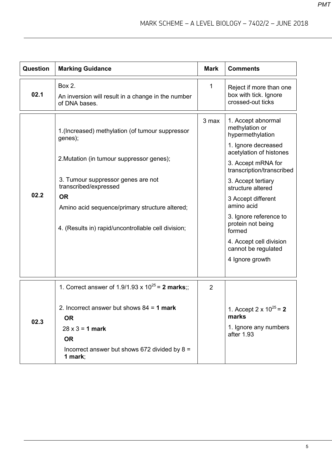| Question | <b>Marking Guidance</b>                                                                                                                                                                                                                                                                       | <b>Mark</b>    | <b>Comments</b>                                                                                                                                                                                                                                                                                                                                                            |
|----------|-----------------------------------------------------------------------------------------------------------------------------------------------------------------------------------------------------------------------------------------------------------------------------------------------|----------------|----------------------------------------------------------------------------------------------------------------------------------------------------------------------------------------------------------------------------------------------------------------------------------------------------------------------------------------------------------------------------|
| 02.1     | Box 2.<br>An inversion will result in a change in the number<br>of DNA bases.                                                                                                                                                                                                                 | 1              | Reject if more than one<br>box with tick. Ignore<br>crossed-out ticks                                                                                                                                                                                                                                                                                                      |
| 02.2     | 1. (Increased) methylation (of tumour suppressor<br>genes);<br>2. Mutation (in tumour suppressor genes);<br>3. Tumour suppressor genes are not<br>transcribed/expressed<br><b>OR</b><br>Amino acid sequence/primary structure altered;<br>4. (Results in) rapid/uncontrollable cell division; | 3 max          | 1. Accept abnormal<br>methylation or<br>hypermethylation<br>1. Ignore decreased<br>acetylation of histones<br>3. Accept mRNA for<br>transcription/transcribed<br>3. Accept tertiary<br>structure altered<br>3 Accept different<br>amino acid<br>3. Ignore reference to<br>protein not being<br>formed<br>4. Accept cell division<br>cannot be regulated<br>4 Ignore growth |
|          |                                                                                                                                                                                                                                                                                               |                |                                                                                                                                                                                                                                                                                                                                                                            |
| 02.3     | 1. Correct answer of 1.9/1.93 x $10^{25}$ = 2 marks;;<br>2. Incorrect answer but shows $84 = 1$ mark<br><b>OR</b><br>$28 \times 3 = 1$ mark<br><b>OR</b><br>Incorrect answer but shows 672 divided by $8 =$<br>1 mark;                                                                        | $\overline{2}$ | 1. Accept 2 x $10^{25} = 2$<br>marks<br>1. Ignore any numbers<br>after 1.93                                                                                                                                                                                                                                                                                                |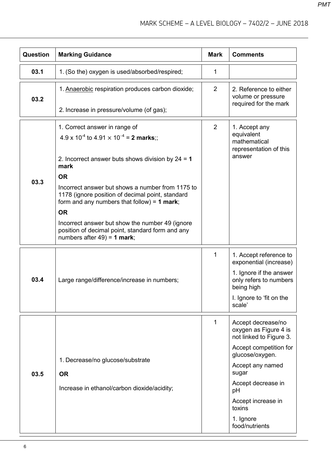| Question | <b>Marking Guidance</b>                                                                                                                               | <b>Mark</b>    | <b>Comments</b>                                                        |
|----------|-------------------------------------------------------------------------------------------------------------------------------------------------------|----------------|------------------------------------------------------------------------|
| 03.1     | 1. (So the) oxygen is used/absorbed/respired;                                                                                                         | 1              |                                                                        |
| 03.2     | 1. Anaerobic respiration produces carbon dioxide;                                                                                                     | 2              | 2. Reference to either<br>volume or pressure<br>required for the mark  |
|          | 2. Increase in pressure/volume (of gas);                                                                                                              |                |                                                                        |
|          | 1. Correct answer in range of                                                                                                                         | $\overline{2}$ | 1. Accept any                                                          |
|          | $4.9 \times 10^{-4}$ to $4.91 \times 10^{-4}$ = 2 marks;;                                                                                             |                | equivalent<br>mathematical                                             |
|          | 2. Incorrect answer buts shows division by $24 = 1$<br>mark                                                                                           |                | representation of this<br>answer                                       |
| 03.3     | <b>OR</b>                                                                                                                                             |                |                                                                        |
|          | Incorrect answer but shows a number from 1175 to<br>1178 (ignore position of decimal point, standard<br>form and any numbers that follow) = $1$ mark; |                |                                                                        |
|          | <b>OR</b>                                                                                                                                             |                |                                                                        |
|          | Incorrect answer but show the number 49 (ignore<br>position of decimal point, standard form and any<br>numbers after $49$ ) = 1 mark;                 |                |                                                                        |
|          |                                                                                                                                                       | 1              | 1. Accept reference to<br>exponential (increase)                       |
| 03.4     | Large range/difference/increase in numbers;                                                                                                           |                | 1. Ignore if the answer<br>only refers to numbers<br>being high        |
|          |                                                                                                                                                       |                | I. Ignore to 'fit on the<br>scale'                                     |
|          |                                                                                                                                                       | 1              | Accept decrease/no<br>oxygen as Figure 4 is<br>not linked to Figure 3. |
|          | 1. Decrease/no glucose/substrate                                                                                                                      |                | Accept competition for<br>glucose/oxygen.                              |
|          |                                                                                                                                                       |                | Accept any named<br>sugar                                              |
| 03.5     | <b>OR</b><br>Increase in ethanol/carbon dioxide/acidity;                                                                                              |                | Accept decrease in<br>pH                                               |
|          |                                                                                                                                                       |                | Accept increase in<br>toxins                                           |
|          |                                                                                                                                                       |                | 1. Ignore<br>food/nutrients                                            |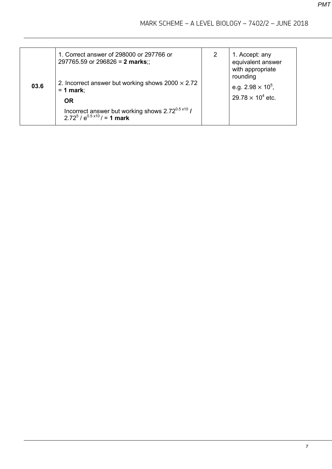| 03.6 | 1. Correct answer of 298000 or 297766 or<br>297765.59 or 296826 = 2 marks;;<br>2. Incorrect answer but working shows $2000 \times 2.72$<br>$= 1$ mark;<br><b>OR</b> | $\overline{2}$ | 1. Accept: any<br>equivalent answer<br>with appropriate<br>rounding<br>e.g. $2.98 \times 10^5$ ,<br>$29.78 \times 10^4$ etc. |
|------|---------------------------------------------------------------------------------------------------------------------------------------------------------------------|----------------|------------------------------------------------------------------------------------------------------------------------------|
|      | Incorrect answer but working shows $2.72^{0.5 \times 10}$ /<br>2 72 <sup>5</sup> / $e^{0.5 \times 10}$ / = 1 mark                                                   |                |                                                                                                                              |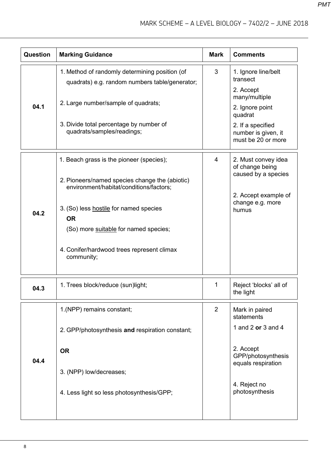| <b>Question</b> | <b>Marking Guidance</b>                                                                                                                                                                                                                                                             | <b>Mark</b>    | <b>Comments</b>                                                                                                    |
|-----------------|-------------------------------------------------------------------------------------------------------------------------------------------------------------------------------------------------------------------------------------------------------------------------------------|----------------|--------------------------------------------------------------------------------------------------------------------|
| 04.1            | 1. Method of randomly determining position (of<br>quadrats) e.g. random numbers table/generator;<br>2. Large number/sample of quadrats;                                                                                                                                             | 3              | 1. Ignore line/belt<br>transect<br>2. Accept<br>many/multiple<br>2. Ignore point<br>quadrat                        |
|                 | 3. Divide total percentage by number of<br>quadrats/samples/readings;                                                                                                                                                                                                               |                | 2. If a specified<br>number is given, it<br>must be 20 or more                                                     |
| 04.2            | 1. Beach grass is the pioneer (species);<br>2. Pioneers/named species change the (abiotic)<br>environment/habitat/conditions/factors;<br>3. (So) less hostile for named species<br><b>OR</b><br>(So) more suitable for named species;<br>4. Conifer/hardwood trees represent climax | 4              | 2. Must convey idea<br>of change being<br>caused by a species<br>2. Accept example of<br>change e.g. more<br>humus |
| 04.3            | community;<br>1. Trees block/reduce (sun)light;                                                                                                                                                                                                                                     | 1              | Reject 'blocks' all of<br>the light                                                                                |
| 04.4            | 1.(NPP) remains constant;<br>2. GPP/photosynthesis and respiration constant;<br><b>OR</b><br>3. (NPP) low/decreases;                                                                                                                                                                | $\overline{2}$ | Mark in paired<br>statements<br>1 and 2 or 3 and 4<br>2. Accept<br>GPP/photosynthesis<br>equals respiration        |
|                 | 4. Less light so less photosynthesis/GPP;                                                                                                                                                                                                                                           |                | 4. Reject no<br>photosynthesis                                                                                     |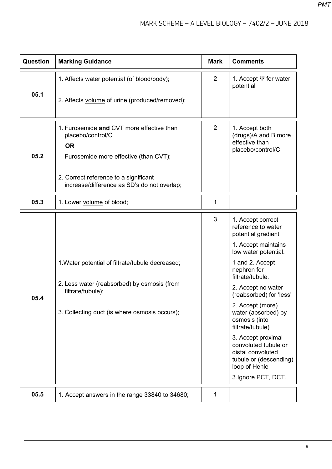| <b>Question</b> | <b>Marking Guidance</b>                                                              | <b>Mark</b>    | <b>Comments</b>                                                                                            |
|-----------------|--------------------------------------------------------------------------------------|----------------|------------------------------------------------------------------------------------------------------------|
| 05.1            | 1. Affects water potential (of blood/body);                                          | $\overline{2}$ | 1. Accept $\Psi$ for water<br>potential                                                                    |
|                 | 2. Affects volume of urine (produced/removed);                                       |                |                                                                                                            |
|                 | 1. Furosemide and CVT more effective than<br>placebo/control/C                       | $\overline{2}$ | 1. Accept both<br>(drugs)/A and B more<br>effective than                                                   |
| 05.2            | <b>OR</b><br>Furosemide more effective (than CVT);                                   |                | placebo/control/C                                                                                          |
|                 | 2. Correct reference to a significant<br>increase/difference as SD's do not overlap; |                |                                                                                                            |
| 05.3            | 1. Lower volume of blood;                                                            | 1              |                                                                                                            |
|                 |                                                                                      | 3              | 1. Accept correct<br>reference to water<br>potential gradient                                              |
|                 |                                                                                      |                | 1. Accept maintains<br>low water potential.                                                                |
|                 | 1. Water potential of filtrate/tubule decreased;                                     |                | 1 and 2. Accept<br>nephron for<br>filtrate/tubule.                                                         |
| 05.4            | 2. Less water (reabsorbed) by <b>osmosis</b> (from<br>filtrate/tubule);              |                | 2. Accept no water<br>(reabsorbed) for 'less'                                                              |
|                 | 3. Collecting duct (is where osmosis occurs);                                        |                | 2. Accept (more)<br>water (absorbed) by<br>osmosis (into<br>filtrate/tubule)                               |
|                 |                                                                                      |                | 3. Accept proximal<br>convoluted tubule or<br>distal convoluted<br>tubule or (descending)<br>loop of Henle |
|                 |                                                                                      |                | 3.Ignore PCT, DCT.                                                                                         |
| 05.5            | 1. Accept answers in the range 33840 to 34680;                                       | 1              |                                                                                                            |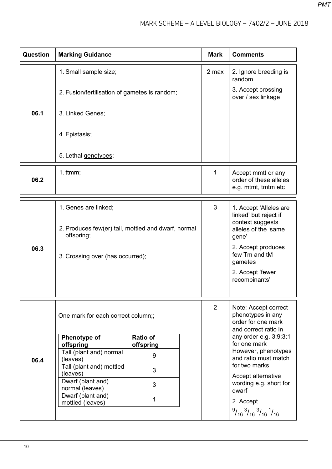| Question | <b>Marking Guidance</b>                                                                               |                       |  | <b>Mark</b>        | <b>Comments</b>                                                                                                              |
|----------|-------------------------------------------------------------------------------------------------------|-----------------------|--|--------------------|------------------------------------------------------------------------------------------------------------------------------|
|          | 1. Small sample size;                                                                                 |                       |  | 2 max              | 2. Ignore breeding is<br>random                                                                                              |
|          | 2. Fusion/fertilisation of gametes is random;                                                         |                       |  |                    | 3. Accept crossing<br>over / sex linkage                                                                                     |
| 06.1     | 3. Linked Genes;                                                                                      |                       |  |                    |                                                                                                                              |
|          | 4. Epistasis;                                                                                         |                       |  |                    |                                                                                                                              |
|          | 5. Lethal genotypes;                                                                                  |                       |  |                    |                                                                                                                              |
| 06.2     | $1.$ ttmm;                                                                                            |                       |  | 1                  | Accept mmtt or any<br>order of these alleles<br>e.g. mtmt, tmtm etc                                                          |
|          | 1. Genes are linked;                                                                                  |                       |  | 3                  | 1. Accept 'Alleles are                                                                                                       |
| 06.3     | 2. Produces few(er) tall, mottled and dwarf, normal<br>offspring;<br>3. Crossing over (has occurred); |                       |  |                    | linked' but reject if<br>context suggests<br>alleles of the 'same<br>gene'<br>2. Accept produces<br>few Tm and tM<br>gametes |
|          |                                                                                                       |                       |  |                    | 2. Accept 'fewer<br>recombinants'                                                                                            |
|          | One mark for each correct column;;                                                                    |                       |  | $\overline{2}$     | Note: Accept correct<br>phenotypes in any<br>order for one mark<br>and correct ratio in                                      |
|          | Phenotype of<br>offspring                                                                             | Ratio of<br>offspring |  |                    | any order e.g. 3:9:3:1<br>for one mark                                                                                       |
|          | Tall (plant and) normal                                                                               | 9                     |  |                    | However, phenotypes<br>and ratio must match                                                                                  |
| 06.4     | (leaves)<br>Tall (plant and) mottled                                                                  | 3                     |  |                    | for two marks                                                                                                                |
|          | (leaves)<br>Dwarf (plant and)<br>normal (leaves)                                                      | 3                     |  | dwarf<br>2. Accept | Accept alternative<br>wording e.g. short for                                                                                 |
|          | Dwarf (plant and)<br>mottled (leaves)                                                                 | 1                     |  |                    |                                                                                                                              |
|          |                                                                                                       |                       |  |                    | $^{9}/_{16}$ $^{3}/_{16}$ $^{3}/_{16}$ $^{1}/_{16}$                                                                          |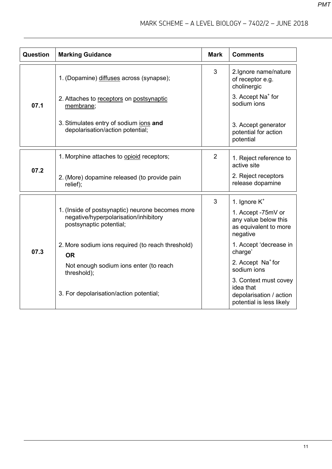| Question | <b>Marking Guidance</b>                                                                                              | <b>Mark</b>    | <b>Comments</b>                                                                           |
|----------|----------------------------------------------------------------------------------------------------------------------|----------------|-------------------------------------------------------------------------------------------|
|          | 1. (Dopamine) diffuses across (synapse);                                                                             | 3              | 2. Ignore name/nature<br>of receptor e.g.<br>cholinergic                                  |
| 07.1     | 2. Attaches to receptors on postsynaptic<br>membrane;                                                                |                | 3. Accept Na <sup>+</sup> for<br>sodium ions                                              |
|          | 3. Stimulates entry of sodium ions and<br>depolarisation/action potential;                                           |                | 3. Accept generator<br>potential for action<br>potential                                  |
|          | 1. Morphine attaches to opioid receptors;                                                                            | $\overline{2}$ | 1. Reject reference to<br>active site                                                     |
| 07.2     | 2. (More) dopamine released (to provide pain<br>relief);                                                             |                | 2. Reject receptors<br>release dopamine                                                   |
|          |                                                                                                                      | 3              | 1. Ignore $K^+$                                                                           |
|          | 1. (Inside of postsynaptic) neurone becomes more<br>negative/hyperpolarisation/inhibitory<br>postsynaptic potential; |                | 1. Accept -75mV or<br>any value below this<br>as equivalent to more<br>negative           |
| 07.3     | 2. More sodium ions required (to reach threshold)<br><b>OR</b>                                                       |                | 1. Accept 'decrease in<br>charge'                                                         |
|          | Not enough sodium ions enter (to reach<br>threshold);                                                                |                | 2. Accept Na <sup>+</sup> for<br>sodium ions                                              |
|          | 3. For depolarisation/action potential;                                                                              |                | 3. Context must covey<br>idea that<br>depolarisation / action<br>potential is less likely |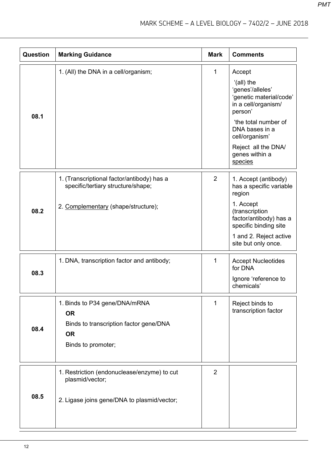| Question | <b>Marking Guidance</b>                                                                                                 | <b>Mark</b>    | <b>Comments</b>                                                                                                                                                                                                       |
|----------|-------------------------------------------------------------------------------------------------------------------------|----------------|-----------------------------------------------------------------------------------------------------------------------------------------------------------------------------------------------------------------------|
| 08.1     | 1. (All) the DNA in a cell/organism;                                                                                    | 1              | Accept<br>'(all) the<br>'genes'/alleles'<br>'genetic material/code'<br>in a cell/organism/<br>person'<br>'the total number of<br>DNA bases in a<br>cell/organism'<br>Reject all the DNA/<br>genes within a<br>species |
| 08.2     | 1. (Transcriptional factor/antibody) has a<br>specific/tertiary structure/shape;<br>2. Complementary (shape/structure); | $\overline{2}$ | 1. Accept (antibody)<br>has a specific variable<br>region<br>1. Accept<br>(transcription<br>factor/antibody) has a<br>specific binding site<br>1 and 2. Reject active<br>site but only once.                          |
| 08.3     | 1. DNA, transcription factor and antibody;                                                                              | 1              | <b>Accept Nucleotides</b><br>for DNA<br>Ignore 'reference to<br>chemicals'                                                                                                                                            |
| 08.4     | 1. Binds to P34 gene/DNA/mRNA<br><b>OR</b><br>Binds to transcription factor gene/DNA<br><b>OR</b><br>Binds to promoter; | 1              | Reject binds to<br>transcription factor                                                                                                                                                                               |
| 08.5     | 1. Restriction (endonuclease/enzyme) to cut<br>plasmid/vector;<br>2. Ligase joins gene/DNA to plasmid/vector;           | $\overline{2}$ |                                                                                                                                                                                                                       |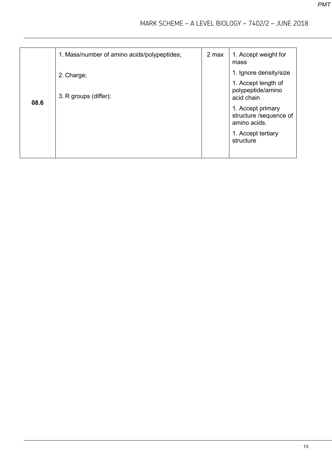|      | 1. Mass/number of amino acids/polypeptides; | 2 max | 1. Accept weight for<br>mass                                                                                                                                                       |
|------|---------------------------------------------|-------|------------------------------------------------------------------------------------------------------------------------------------------------------------------------------------|
| 08.6 | 2. Charge;<br>3. R groups (differ);         |       | 1. Ignore density/size<br>1. Accept length of<br>polypeptide/amino<br>acid chain<br>1. Accept primary<br>structure /sequence of<br>amino acids.<br>1. Accept tertiary<br>structure |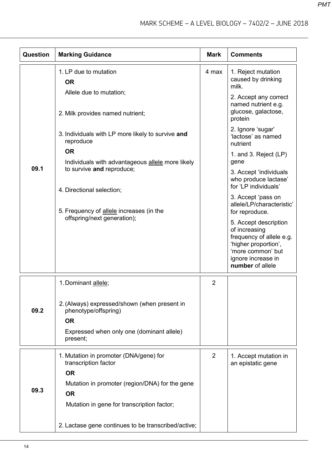| Question | <b>Marking Guidance</b>                                                                                                                    | <b>Mark</b>    | <b>Comments</b>                                                                                                                                           |
|----------|--------------------------------------------------------------------------------------------------------------------------------------------|----------------|-----------------------------------------------------------------------------------------------------------------------------------------------------------|
|          | 1. LP due to mutation<br><b>OR</b>                                                                                                         | 4 max          | 1. Reject mutation<br>caused by drinking<br>milk.                                                                                                         |
|          | Allele due to mutation;<br>2. Milk provides named nutrient;                                                                                |                | 2. Accept any correct<br>named nutrient e.g.<br>glucose, galactose,<br>protein                                                                            |
|          | 3. Individuals with LP more likely to survive and<br>reproduce                                                                             |                | 2. Ignore 'sugar'<br>'lactose' as named<br>nutrient                                                                                                       |
| 09.1     | <b>OR</b><br>Individuals with advantageous allele more likely                                                                              |                | 1. and 3. Reject (LP)<br>gene                                                                                                                             |
|          | to survive and reproduce;<br>4. Directional selection;                                                                                     |                | 3. Accept 'individuals<br>who produce lactase'<br>for 'LP individuals'                                                                                    |
|          | 5. Frequency of allele increases (in the                                                                                                   |                | 3. Accept 'pass on<br>allele/LP/characteristic'<br>for reproduce.                                                                                         |
|          | offspring/next generation);                                                                                                                |                | 5. Accept description<br>of increasing<br>frequency of allele e.g.<br>'higher proportion',<br>'more common' but<br>ignore increase in<br>number of allele |
|          | 1. Dominant allele;                                                                                                                        | $\overline{2}$ |                                                                                                                                                           |
| 09.2     | 2. (Always) expressed/shown (when present in<br>phenotype/offspring)<br><b>OR</b><br>Expressed when only one (dominant allele)<br>present; |                |                                                                                                                                                           |
|          | 1. Mutation in promoter (DNA/gene) for<br>transcription factor<br><b>OR</b>                                                                | $\overline{2}$ | 1. Accept mutation in<br>an epistatic gene                                                                                                                |
| 09.3     | Mutation in promoter (region/DNA) for the gene<br><b>OR</b>                                                                                |                |                                                                                                                                                           |
|          | Mutation in gene for transcription factor;<br>2. Lactase gene continues to be transcribed/active;                                          |                |                                                                                                                                                           |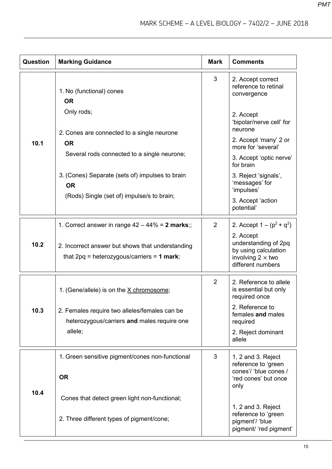| <b>Question</b> | <b>Marking Guidance</b>                                                                          | <b>Mark</b>    | <b>Comments</b>                                                                                            |
|-----------------|--------------------------------------------------------------------------------------------------|----------------|------------------------------------------------------------------------------------------------------------|
|                 | 1. No (functional) cones<br><b>OR</b>                                                            | 3              | 2. Accept correct<br>reference to retinal<br>convergence                                                   |
|                 | Only rods;                                                                                       |                | 2. Accept<br>'bipolar/nerve cell' for<br>neurone                                                           |
| 10.1            | 2. Cones are connected to a single neurone<br><b>OR</b>                                          |                | 2. Accept 'many' 2 or<br>more for 'several'                                                                |
|                 | Several rods connected to a single neurone;                                                      |                | 3. Accept 'optic nerve'<br>for brain                                                                       |
|                 | 3. (Cones) Separate (sets of) impulses to brain<br><b>OR</b>                                     |                | 3. Reject 'signals',<br>'messages' for<br>'impulses'                                                       |
|                 | (Rods) Single (set of) impulse/s to brain;                                                       |                | 3. Accept 'action<br>potential'                                                                            |
|                 | 1. Correct answer in range $42 - 44\% = 2$ marks;;                                               | $\overline{2}$ | 2. Accept $1 - (p^2 + q^2)$                                                                                |
| 10.2            | 2. Incorrect answer but shows that understanding<br>that $2pq$ = heterozygous/carriers = 1 mark; |                | 2. Accept<br>understanding of 2pq<br>by using calculation<br>involving $2 \times$ two<br>different numbers |
|                 | 1. (Gene/allele) is on the X chromosome;                                                         | $\overline{2}$ | 2. Reference to allele<br>is essential but only<br>required once                                           |
| 10.3            | 2. Females require two alleles/females can be<br>heterozygous/carriers and males require one     |                | 2. Reference to<br>females and males<br>required                                                           |
|                 | allele;                                                                                          |                | 2. Reject dominant<br>allele                                                                               |
|                 | 1. Green sensitive pigment/cones non-functional                                                  | 3              | 1, 2 and 3. Reject<br>reference to 'green                                                                  |
|                 | <b>OR</b>                                                                                        |                | cones'/ 'blue cones /<br>'red cones' but once<br>only                                                      |
| 10.4            | Cones that detect green light non-functional;                                                    |                | 1, 2 and 3. Reject                                                                                         |
|                 | 2. Three different types of pigment/cone;                                                        |                | reference to 'green<br>pigment'/ 'blue<br>pigment/ 'red pigment'                                           |